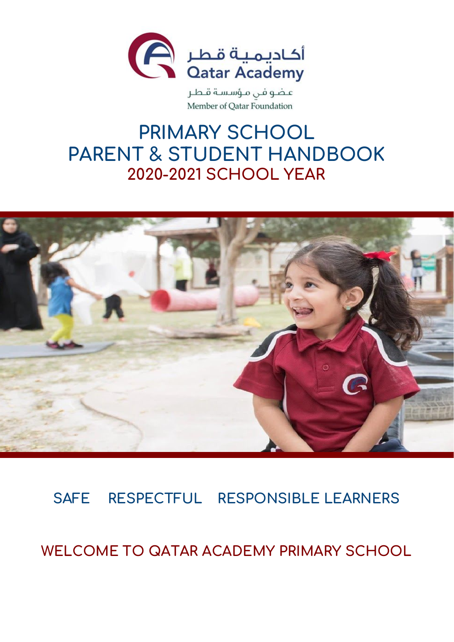

عضوفي مؤسسة قطر Member of Qatar Foundation

# **PRIMARY SCHOOL PARENT & STUDENT HANDBOOK 2020-2021 SCHOOL YEAR**



# **SAFE RESPECTFUL RESPONSIBLE LEARNERS**

**WELCOME TO QATAR ACADEMY PRIMARY SCHOOL**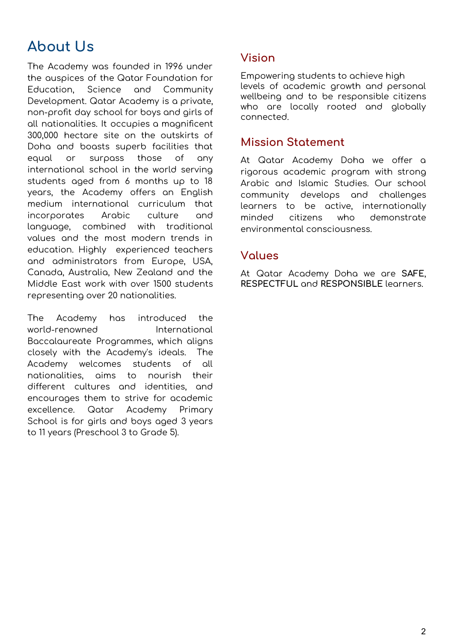# <span id="page-1-0"></span>**About Us**

The Academy was founded in 1996 under the auspices of the Qatar Foundation for Education, Science and Community Development. Qatar Academy is a private, non-profit day school for boys and girls of all nationalities. It occupies a magnificent 300,000 hectare site on the outskirts of Doha and boasts superb facilities that equal or surpass those of any international school in the world serving students aged from 6 months up to 18 years, the Academy offers an English medium international curriculum that incorporates Arabic culture and language, combined with traditional values and the most modern trends in education. Highly experienced teachers and administrators from Europe, USA, Canada, Australia, New Zealand and the Middle East work with over 1500 students representing over 20 nationalities.

The Academy has introduced the world-renowned International Baccalaureate Programmes, which aligns closely with the Academy's ideals. The Academy welcomes students of all nationalities, aims to nourish their different cultures and identities, and encourages them to strive for academic excellence. Qatar Academy Primary School is for girls and boys aged 3 years to 11 years (Preschool 3 to Grade 5).

## <span id="page-1-2"></span>**Vision**

Empowering students to achieve high levels of academic growth and personal wellbeing and to be responsible citizens who are locally rooted and globally connected.

## <span id="page-1-1"></span>**Mission Statement**

At Qatar Academy Doha we offer a rigorous academic program with strong Arabic and Islamic Studies. Our school community develops and challenges learners to be active, internationally minded citizens who demonstrate environmental consciousness.

## <span id="page-1-3"></span>**Values**

At Qatar Academy Doha we are **SAFE**, **RESPECTFUL** and **RESPONSIBLE** learners.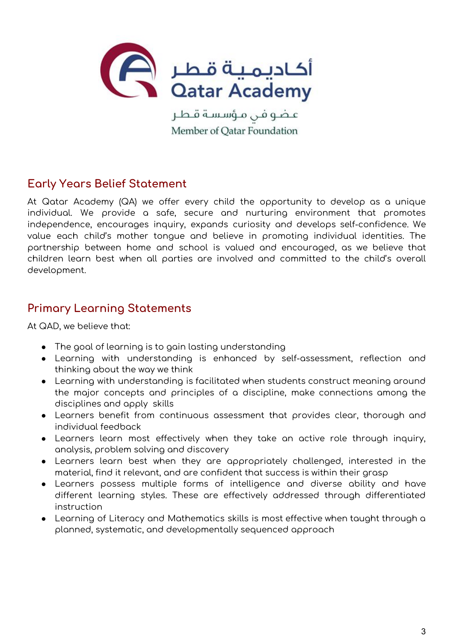

عضوفن مؤسسة قطر Member of Oatar Foundation

## <span id="page-2-0"></span>**Early Years Belief Statement**

At Qatar Academy (QA) we offer every child the opportunity to develop as a unique individual. We provide a safe, secure and nurturing environment that promotes independence, encourages inquiry, expands curiosity and develops self-confidence. We value each child's mother tongue and believe in promoting individual identities. The partnership between home and school is valued and encouraged, as we believe that children learn best when all parties are involved and committed to the child's overall development.

## <span id="page-2-1"></span>**Primary Learning Statements**

At QAD, we believe that:

- The goal of learning is to gain lasting understanding
- Learning with understanding is enhanced by self-assessment, reflection and thinking about the way we think
- Learning with understanding is facilitated when students construct meaning around the major concepts and principles of a discipline, make connections among the disciplines and apply skills
- Learners benefit from continuous assessment that provides clear, thorough and individual feedback
- Learners learn most effectively when they take an active role through inquiry, analysis, problem solving and discovery
- Learners learn best when they are appropriately challenged, interested in the material, find it relevant, and are confident that success is within their grasp
- Learners possess multiple forms of intelligence and diverse ability and have different learning styles. These are effectively addressed through differentiated instruction
- Learning of Literacy and Mathematics skills is most effective when taught through a planned, systematic, and developmentally sequenced approach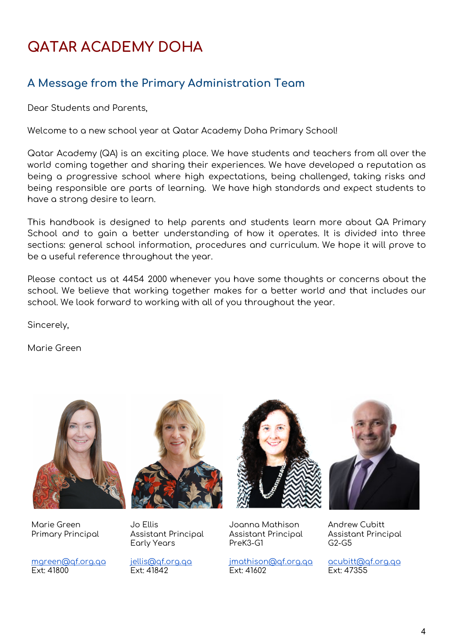# **QATAR ACADEMY DOHA**

# **A Message from the Primary Administration Team**

Dear Students and Parents,

Welcome to a new school year at Qatar Academy Doha Primary School!

Qatar Academy (QA) is an exciting place. We have students and teachers from all over the world coming together and sharing their experiences. We have developed a reputation as being a progressive school where high expectations, being challenged, taking risks and being responsible are parts of learning. We have high standards and expect students to have a strong desire to learn.

This handbook is designed to help parents and students learn more about QA Primary School and to gain a better understanding of how it operates. It is divided into three sections: general school information, procedures and curriculum. We hope it will prove to be a useful reference throughout the year.

Please contact us at 4454 2000 whenever you have some thoughts or concerns about the school. We believe that working together makes for a better world and that includes our school. We look forward to working with all of you throughout the year.

Sincerely,

Marie Green



Marie Green Primary Principal

[mgreen@qf.org.qa](mailto:mgreen@qf.org.qa) Ext: 41800



Jo Ellis Assistant Principal Early Years

[jellis@qf.org.qa](mailto:jellis@qf.org.qa) Ext: 41842





Joanna Mathison Assistant Principal PreK3-G1

[jmathison@qf.org.qa](mailto:jmathison@qf.org.qa) Ext: 41602

Andrew Cubitt Assistant Principal G2-G5

[acubitt@qf.org.qa](mailto:acubitt@qf.org.qa) Ext: 47355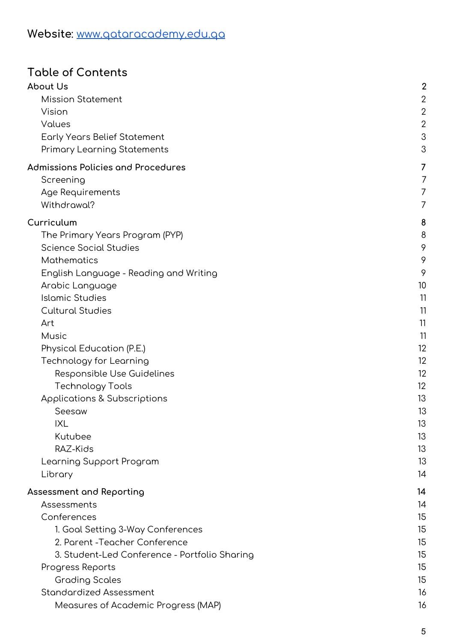# **Website**: [www.qataracademy.edu.qa](http://www.qataracademy.edu.qa/)

# **Table of Contents**

| About Us                                      | $\overline{2}$ |
|-----------------------------------------------|----------------|
| <b>Mission Statement</b>                      | $\mathbf{2}$   |
| Vision                                        | $\mathbf{2}$   |
| Values                                        | $\overline{2}$ |
| <b>Early Years Belief Statement</b>           | $\mathcal{S}$  |
| Primary Learning Statements                   | 3              |
| <b>Admissions Policies and Procedures</b>     | 7              |
| Screening                                     | 7              |
| Age Requirements                              | 7              |
| Withdrawal?                                   | 7              |
| Curriculum                                    | 8              |
| The Primary Years Program (PYP)               | 8              |
| <b>Science Social Studies</b>                 | 9              |
| Mathematics                                   | 9              |
| English Language - Reading and Writing        | 9              |
| Arabic Language                               | 10             |
| <b>Islamic Studies</b>                        | 11             |
| <b>Cultural Studies</b>                       | 11             |
| Art                                           | 11             |
| <b>Music</b>                                  | 11             |
| Physical Education (P.E.)                     | 12             |
| Technology for Learning                       | 12             |
| Responsible Use Guidelines                    | 12             |
| <b>Technology Tools</b>                       | 12             |
| <b>Applications &amp; Subscriptions</b>       | 13             |
| Seesaw                                        | 13             |
| <b>IXL</b>                                    | 13             |
| Kutubee                                       | 13             |
| RAZ-Kids                                      | 13             |
| Learning Support Program                      | 13             |
| Library                                       | 14             |
| Assessment and Reporting                      | 14             |
| Assessments                                   | 14             |
| Conferences                                   | 15             |
| 1. Goal Setting 3-Way Conferences             | 15             |
| 2. Parent - Teacher Conference                | 15             |
| 3. Student-Led Conference - Portfolio Sharing | 15             |
| Progress Reports                              | 15             |
| <b>Grading Scales</b>                         | 15             |
| <b>Standardized Assessment</b>                | 16             |
| Measures of Academic Progress (MAP)           | 16             |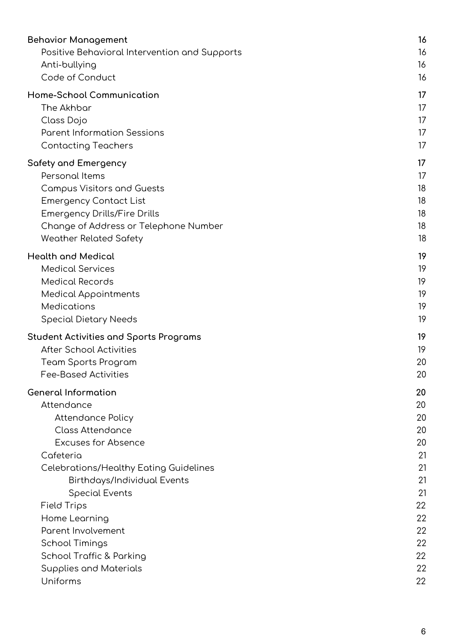| <b>Behavior Management</b>                           | 16       |
|------------------------------------------------------|----------|
| Positive Behavioral Intervention and Supports        | 16<br>16 |
| Anti-bullying<br>Code of Conduct                     | 16       |
| Home-School Communication                            | 17       |
| The Akhbar                                           | 17       |
| Class Dojo                                           | 17       |
| <b>Parent Information Sessions</b>                   | 17       |
| <b>Contacting Teachers</b>                           | 17       |
| <b>Safety and Emergency</b>                          | 17       |
| Personal Items                                       | 17       |
| <b>Campus Visitors and Guests</b>                    | 18       |
| <b>Emergency Contact List</b>                        | 18       |
| <b>Emergency Drills/Fire Drills</b>                  | 18       |
| Change of Address or Telephone Number                | 18       |
| <b>Weather Related Safety</b>                        | 18       |
| <b>Health and Medical</b>                            | 19       |
| <b>Medical Services</b>                              | 19       |
| <b>Medical Records</b>                               | 19       |
| <b>Medical Appointments</b>                          | 19       |
| Medications                                          | 19       |
| <b>Special Dietary Needs</b>                         | 19       |
| <b>Student Activities and Sports Programs</b>        | 19       |
| <b>After School Activities</b>                       | 19       |
| Team Sports Program                                  | 20       |
| <b>Fee-Based Activities</b>                          | 20       |
| <b>General Information</b>                           | 20       |
| Attendance                                           | 20       |
| <b>Attendance Policy</b>                             | 20       |
| <b>Class Attendance</b>                              | 20       |
| <b>Excuses for Absence</b>                           | 20       |
| Cafeteria                                            | 21<br>21 |
| Celebrations/Healthy Eating Guidelines               | 21       |
| Birthdays/Individual Events<br><b>Special Events</b> | 21       |
| <b>Field Trips</b>                                   | 22       |
| Home Learning                                        | 22       |
| Parent Involvement                                   | 22       |
| <b>School Timings</b>                                | 22       |
| School Traffic & Parking                             | 22       |
| Supplies and Materials                               | 22       |
| Uniforms                                             | 22       |
|                                                      |          |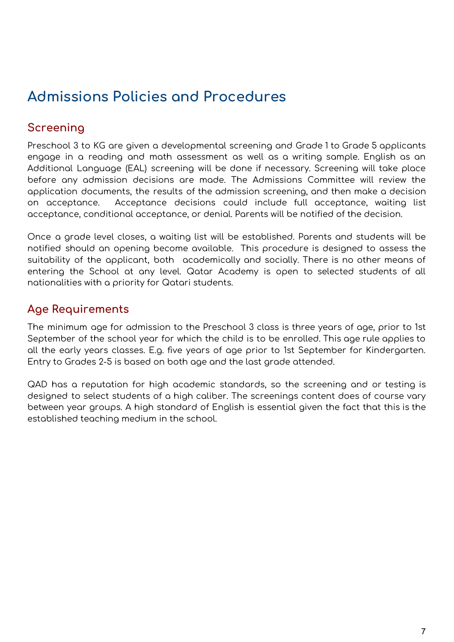# <span id="page-6-0"></span>**Admissions Policies and Procedures**

## <span id="page-6-1"></span>**Screening**

Preschool 3 to KG are given a developmental screening and Grade 1 to Grade 5 applicants engage in a reading and math assessment as well as a writing sample. English as an Additional Language (EAL) screening will be done if necessary. Screening will take place before any admission decisions are made. The Admissions Committee will review the application documents, the results of the admission screening, and then make a decision on acceptance. Acceptance decisions could include full acceptance, waiting list acceptance, conditional acceptance, or denial. Parents will be notified of the decision.

Once a grade level closes, a waiting list will be established. Parents and students will be notified should an opening become available. This procedure is designed to assess the suitability of the applicant, both academically and socially. There is no other means of entering the School at any level. Qatar Academy is open to selected students of all nationalities with a priority for Qatari students.

## <span id="page-6-2"></span>**Age Requirements**

The minimum age for admission to the Preschool 3 class is three years of age, prior to 1st September of the school year for which the child is to be enrolled. This age rule applies to all the early years classes. E.g. five years of age prior to 1st September for Kindergarten. Entry to Grades 2-5 is based on both age and the last grade attended.

<span id="page-6-3"></span>QAD has a reputation for high academic standards, so the screening and or testing is designed to select students of a high caliber. The screenings content does of course vary between year groups. A high standard of English is essential given the fact that this is the established teaching medium in the school.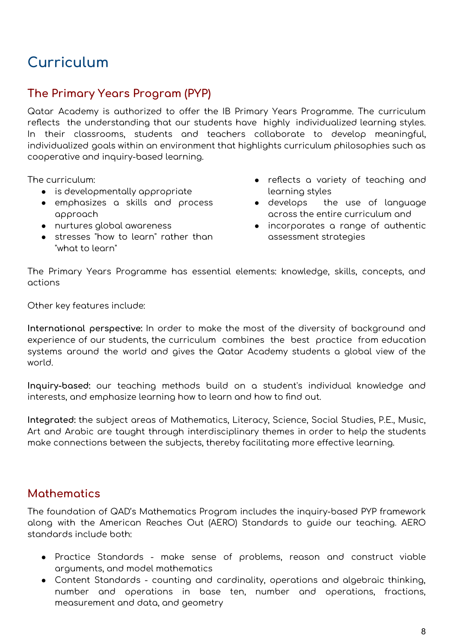# <span id="page-7-0"></span>**Curriculum**

## <span id="page-7-1"></span>**The Primary Years Program (PYP)**

Qatar Academy is authorized to offer the IB Primary Years Programme. The curriculum reflects the understanding that our students have highly individualized learning styles. In their classrooms, students and teachers collaborate to develop meaningful, individualized goals within an environment that highlights curriculum philosophies such as cooperative and inquiry-based learning.

The curriculum:

- is developmentally appropriate
- emphasizes a skills and process approach
- nurtures global awareness
- stresses "how to learn" rather than "what to learn"
- reflects a variety of teaching and learning styles
- develops the use of language across the entire curriculum and
- incorporates a range of authentic assessment strategies

The Primary Years Programme has essential elements: knowledge, skills, concepts, and actions

Other key features include:

**International perspective:** In order to make the most of the diversity of background and experience of our students, the curriculum combines the best practice from education systems around the world and gives the Qatar Academy students a global view of the world.

**Inquiry-based:** our teaching methods build on a student's individual knowledge and interests, and emphasize learning how to learn and how to find out.

<span id="page-7-2"></span>**Integrated:** the subject areas of Mathematics, Literacy, Science, Social Studies, P.E., Music, Art and Arabic are taught through interdisciplinary themes in order to help the students make connections between the subjects, thereby facilitating more effective learning.

## **Mathematics**

The foundation of QAD's Mathematics Program includes the inquiry-based PYP framework along with the American Reaches Out (AERO) Standards to guide our teaching. AERO standards include both:

- Practice Standards make sense of problems, reason and construct viable arguments, and model mathematics
- Content Standards counting and cardinality, operations and algebraic thinking, number and operations in base ten, number and operations, fractions, measurement and data, and geometry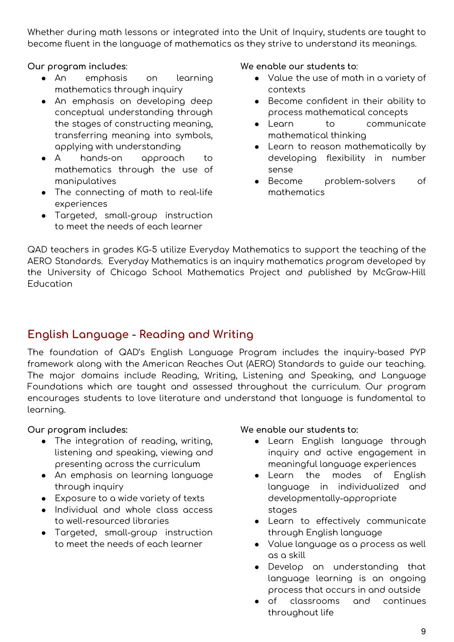Whether during math lessons or integrated into the Unit of Inquiry, students are taught to become fluent in the language of mathematics as they strive to understand its meanings.

**Our program includes**:

- An emphasis on learning mathematics through inquiry
- An emphasis on developing deep conceptual understanding through the stages of constructing meaning, transferring meaning into symbols, applying with understanding
- A hands-on approach to mathematics through the use of manipulatives
- The connecting of math to real-life experiences
- Targeted, small-group instruction to meet the needs of each learner

**We enable our students to**:

- Value the use of math in a variety of contexts
- Become confident in their ability to process mathematical concepts
- Learn to communicate mathematical thinking
- Learn to reason mathematically by developing flexibility in number sense
- Become problem-solvers of mathematics

QAD teachers in grades KG-5 utilize Everyday Mathematics to support the teaching of the AERO Standards. Everyday Mathematics is an inquiry mathematics program developed by the University of Chicago School Mathematics Project and published by McGraw-Hill Education

# <span id="page-8-0"></span>**English Language - Reading and Writing**

The foundation of QAD's English Language Program includes the inquiry-based PYP framework along with the American Reaches Out (AERO) Standards to guide our teaching. The major domains include Reading, Writing, Listening and Speaking, and Language Foundations which are taught and assessed throughout the curriculum. Our program encourages students to love literature and understand that language is fundamental to learning.

**Our program includes:**

- The integration of reading, writing, listening and speaking, viewing and presenting across the curriculum
- An emphasis on learning language through inquiry
- Exposure to a wide variety of texts
- Individual and whole class access to well-resourced libraries
- Targeted, small-group instruction to meet the needs of each learner

### **We enable our students to:**

- Learn English language through inquiry and active engagement in meaningful language experiences
- Learn the modes of English language in individualized and developmentally-appropriate stages
- Learn to effectively communicate through English language
- Value language as a process as well as a skill
- Develop an understanding that language learning is an ongoing process that occurs in and outside
- of classrooms and continues throughout life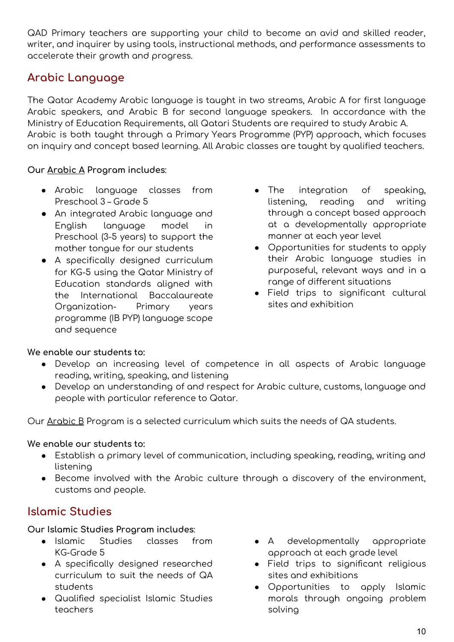QAD Primary teachers are supporting your child to become an avid and skilled reader, writer, and inquirer by using tools, instructional methods, and performance assessments to accelerate their growth and progress.

## <span id="page-9-0"></span>**Arabic Language**

The Qatar Academy Arabic language is taught in two streams, Arabic A for first language Arabic speakers, and Arabic B for second language speakers. In accordance with the Ministry of Education Requirements, all Qatari Students are required to study Arabic A. Arabic is both taught through a Primary Years Programme (PYP) approach, which focuses on inquiry and concept based learning. All Arabic classes are taught by qualified teachers.

### **Our Arabic A Program includes**:

- Arabic language classes from Preschool 3 – Grade 5
- An integrated Arabic language and English language model in Preschool (3-5 years) to support the mother tongue for our students
- A specifically designed curriculum for KG-5 using the Qatar Ministry of Education standards aligned with the International Baccalaureate Organization- Primary years programme (IB PYP) language scope and sequence
- The integration of speaking, listening, reading and writing through a concept based approach at a developmentally appropriate manner at each year level
- Opportunities for students to apply their Arabic language studies in purposeful, relevant ways and in a range of different situations
- Field trips to significant cultural sites and exhibition

### **We enable our students to:**

- Develop an increasing level of competence in all aspects of Arabic language reading, writing, speaking, and listening
- Develop an understanding of and respect for Arabic culture, customs, language and people with particular reference to Qatar.

Our <u>Arabic B</u> Program is a selected curriculum which suits the needs of QA students.

#### **We enable our students to:**

- Establish a primary level of communication, including speaking, reading, writing and listening
- Become involved with the Arabic culture through a discovery of the environment, customs and people.

## <span id="page-9-1"></span>**Islamic Studies**

#### **Our Islamic Studies Program includes**:

- Islamic Studies classes from KG-Grade 5
- A specifically designed researched curriculum to suit the needs of QA students
- Qualified specialist Islamic Studies teachers
- A developmentally appropriate approach at each grade level
- Field trips to significant religious sites and exhibitions
- Opportunities to apply Islamic morals through ongoing problem solving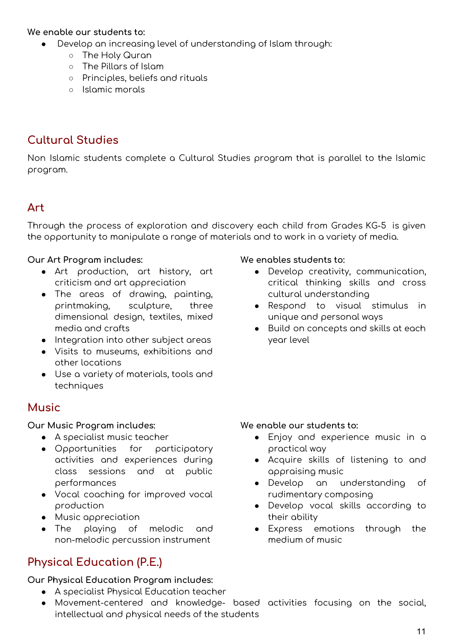#### **We enable our students to:**

- Develop an increasing level of understanding of Islam through:
	- The Holy Quran
	- The Pillars of Islam
	- Principles, beliefs and rituals
	- Islamic morals

## <span id="page-10-0"></span>**Cultural Studies**

Non Islamic students complete a Cultural Studies program that is parallel to the Islamic program.

## <span id="page-10-1"></span>**Art**

Through the process of exploration and discovery each child from Grades KG-5 is given the opportunity to manipulate a range of materials and to work in a variety of media.

#### **Our Art Program includes:**

- Art production, art history, art criticism and art appreciation
- The areas of drawing, painting, printmaking, sculpture, three dimensional design, textiles, mixed media and crafts
- Integration into other subject areas
- Visits to museums, exhibitions and other locations
- Use a variety of materials, tools and techniques

## <span id="page-10-2"></span>**Music**

#### **Our Music Program includes:**

- A specialist music teacher
- Opportunities for participatory activities and experiences during class sessions and at public performances
- Vocal coaching for improved vocal production
- Music appreciation
- The playing of melodic and non-melodic percussion instrument

## <span id="page-10-3"></span>**Physical Education (P.E.)**

**Our Physical Education Program includes:**

● A specialist Physical Education teacher

#### ● Movement-centered and knowledge- based activities focusing on the social, intellectual and physical needs of the students

# ● Develop creativity, communication,

**We enables students to:**

- critical thinking skills and cross cultural understanding ● Respond to visual stimulus in
- unique and personal ways
- Build on concepts and skills at each year level

#### **We enable our students to:**

- Enjoy and experience music in a practical way
- Acquire skills of listening to and appraising music
- Develop an understanding of rudimentary composing
- Develop vocal skills according to their ability
- Express emotions through the medium of music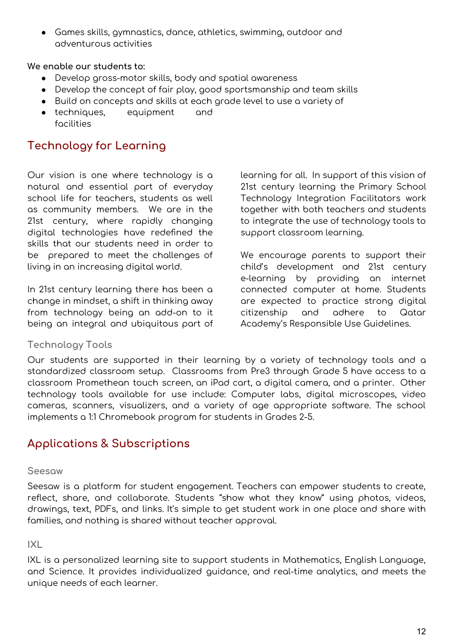● Games skills, gymnastics, dance, athletics, swimming, outdoor and adventurous activities

**We enable our students to:**

- Develop gross-motor skills, body and spatial awareness
- Develop the concept of fair play, good sportsmanship and team skills
- Build on concepts and skills at each grade level to use a variety of
- techniques, equipment and facilities

# <span id="page-11-0"></span>**Technology for Learning**

Our vision is one where technology is a natural and essential part of everyday school life for teachers, students as well as community members. We are in the 21st century, where rapidly changing digital technologies have redefined the skills that our students need in order to be prepared to meet the challenges of living in an increasing digital world.

In 21st century learning there has been a change in mindset, a shift in thinking away from technology being an add-on to it being an integral and ubiquitous part of learning for all. In support of this vision of 21st century learning the Primary School Technology Integration Facilitators work together with both teachers and students to integrate the use of technology tools to support classroom learning.

We encourage parents to support their child's development and 21st century e-learning by providing an internet connected computer at home. Students are expected to practice strong digital citizenship and adhere to Qatar Academy's Responsible Use Guidelines.

### <span id="page-11-1"></span>**Technology Tools**

Our students are supported in their learning by a variety of technology tools and a standardized classroom setup. Classrooms from Pre3 through Grade 5 have access to a classroom Promethean touch screen, an iPad cart, a digital camera, and a printer. Other technology tools available for use include: Computer labs, digital microscopes, video cameras, scanners, visualizers, and a variety of age appropriate software. The school implements a 1:1 Chromebook program for students in Grades 2-5.

## <span id="page-11-2"></span>**Applications & Subscriptions**

#### <span id="page-11-3"></span>**Seesaw**

Seesaw is a platform for student engagement. Teachers can empower students to create, reflect, share, and collaborate. Students "show what they know" using photos, videos, drawings, text, PDFs, and links. It's simple to get student work in one place and share with families, and nothing is shared without teacher approval.

#### <span id="page-11-4"></span>**IXL**

IXL is a personalized learning site to support students in Mathematics, English Language, and Science. It provides individualized guidance, and real-time analytics, and meets the unique needs of each learner.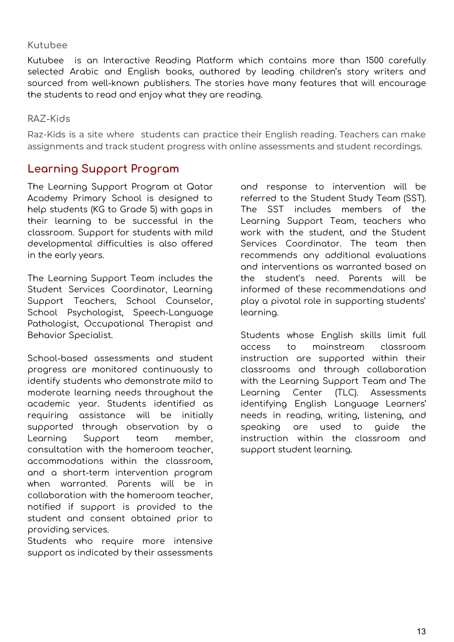### <span id="page-12-0"></span>**Kutubee**

Kutubee is an Interactive Reading Platform which contains more than 1500 carefully selected Arabic and English books, authored by leading children's story writers and sourced from well-known publishers. The stories have many features that will encourage the students to read and enjoy what they are reading.

### <span id="page-12-1"></span>**RAZ-Kids**

Raz-Kids is a site where students can practice their English reading. Teachers can make assignments and track student progress with online assessments and student recordings.

## <span id="page-12-2"></span>**Learning Support Program**

The Learning Support Program at Qatar Academy Primary School is designed to help students (KG to Grade 5) with gaps in their learning to be successful in the classroom. Support for students with mild developmental difficulties is also offered in the early years.

The Learning Support Team includes the Student Services Coordinator, Learning Support Teachers, School Counselor, School Psychologist, Speech-Language Pathologist, Occupational Therapist and Behavior Specialist.

School-based assessments and student progress are monitored continuously to identify students who demonstrate mild to moderate learning needs throughout the academic year. Students identified as requiring assistance will be initially supported through observation by a Learning Support team member, consultation with the homeroom teacher, accommodations within the classroom, and a short-term intervention program when warranted. Parents will be in collaboration with the homeroom teacher, notified if support is provided to the student and consent obtained prior to providing services.

Students who require more intensive support as indicated by their assessments and response to intervention will be referred to the Student Study Team (SST). The SST includes members of the Learning Support Team, teachers who work with the student, and the Student Services Coordinator. The team then recommends any additional evaluations and interventions as warranted based on the student's need. Parents will be informed of these recommendations and play a pivotal role in supporting students' learning.

Students whose English skills limit full access to mainstream classroom instruction are supported within their classrooms and through collaboration with the Learning Support Team and The Learning Center (TLC). Assessments identifying English Language Learners' needs in reading, writing, listening, and speaking are used to guide the instruction within the classroom and support student learning.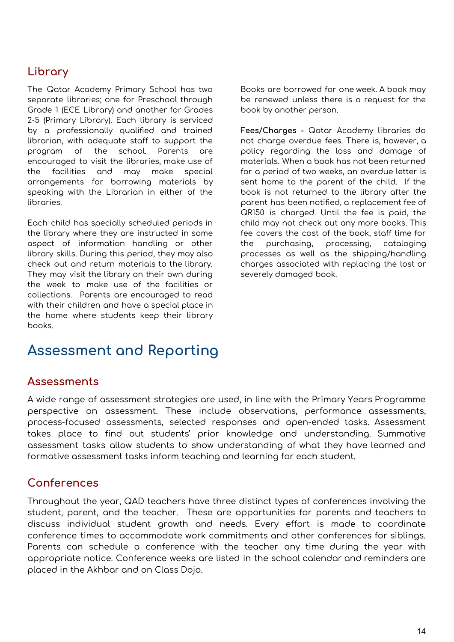## <span id="page-13-0"></span>**Library**

The Qatar Academy Primary School has two separate libraries; one for Preschool through Grade 1 (ECE Library) and another for Grades 2-5 (Primary Library). Each library is serviced by a professionally qualified and trained librarian, with adequate staff to support the program of the school. Parents are encouraged to visit the libraries, make use of the facilities and may make special arrangements for borrowing materials by speaking with the Librarian in either of the libraries.

Each child has specially scheduled periods in the library where they are instructed in some aspect of information handling or other library skills. During this period, they may also check out and return materials to the library. They may visit the library on their own during the week to make use of the facilities or collections. Parents are encouraged to read with their children and have a special place in the home where students keep their library books.

Books are borrowed for one week. A book may be renewed unless there is a request for the book by another person.

**Fees/Charges -** Qatar Academy libraries do not charge overdue fees. There is, however, a policy regarding the loss and damage of materials. When a book has not been returned for a period of two weeks, an overdue letter is sent home to the parent of the child. If the book is not returned to the library after the parent has been notified, a replacement fee of QR150 is charged. Until the fee is paid, the child may not check out any more books. This fee covers the cost of the book, staff time for the purchasing, processing, cataloging processes as well as the shipping/handling charges associated with replacing the lost or severely damaged book.

# <span id="page-13-1"></span>**Assessment and Reporting**

## <span id="page-13-2"></span>**Assessments**

A wide range of assessment strategies are used, in line with the Primary Years Programme perspective on assessment. These include observations, performance assessments, process-focused assessments, selected responses and open-ended tasks. Assessment takes place to find out students' prior knowledge and understanding. Summative assessment tasks allow students to show understanding of what they have learned and formative assessment tasks inform teaching and learning for each student.

## <span id="page-13-3"></span>**Conferences**

Throughout the year, QAD teachers have three distinct types of conferences involving the student, parent, and the teacher. These are opportunities for parents and teachers to discuss individual student growth and needs. Every effort is made to coordinate conference times to accommodate work commitments and other conferences for siblings. Parents can schedule a conference with the teacher any time during the year with appropriate notice. Conference weeks are listed in the school calendar and reminders are placed in the Akhbar and on Class Dojo.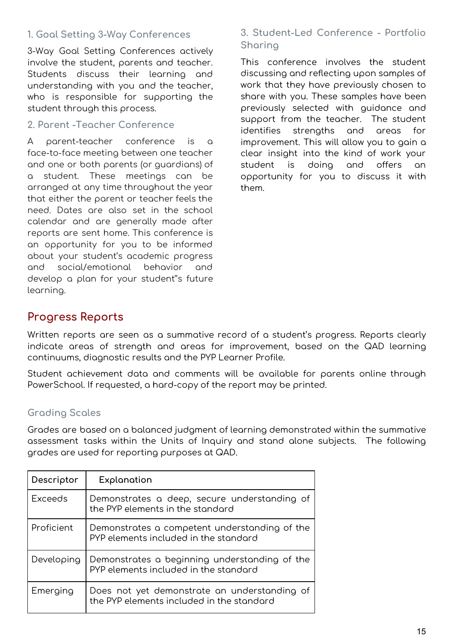### <span id="page-14-0"></span>**1. Goal Setting 3-Way Conferences**

3-Way Goal Setting Conferences actively involve the student, parents and teacher. Students discuss their learning and understanding with you and the teacher, who is responsible for supporting the student through this process.

#### <span id="page-14-1"></span>**2. Parent -Teacher Conference**

A parent-teacher conference is a face-to-face meeting between one teacher and one or both parents (or guardians) of a student. These meetings can be arranged at any time throughout the year that either the parent or teacher feels the need. Dates are also set in the school calendar and are generally made after reports are sent home. This conference is an opportunity for you to be informed about your student's academic progress and social/emotional behavior and develop a plan for your student''s future learning.

## <span id="page-14-2"></span>**3. Student-Led Conference - Portfolio Sharing**

This conference involves the student discussing and reflecting upon samples of work that they have previously chosen to share with you. These samples have been previously selected with guidance and support from the teacher. The student identifies strengths and areas for improvement. This will allow you to gain a clear insight into the kind of work your student is doing and offers an opportunity for you to discuss it with them.

## <span id="page-14-3"></span>**Progress Reports**

Written reports are seen as a summative record of a student's progress. Reports clearly indicate areas of strength and areas for improvement, based on the QAD learning continuums, diagnostic results and the PYP Learner Profile.

Student achievement data and comments will be available for parents online through PowerSchool. If requested, a hard-copy of the report may be printed.

## <span id="page-14-4"></span>**Grading Scales**

Grades are based on a balanced judgment of learning demonstrated within the summative assessment tasks within the Units of Inquiry and stand alone subjects. The following grades are used for reporting purposes at QAD.

| Descriptor | Explanation                                                                               |
|------------|-------------------------------------------------------------------------------------------|
| Exceeds    | Demonstrates a deep, secure understanding of<br>the PYP elements in the standard          |
| Proficient | Demonstrates a competent understanding of the<br>PYP elements included in the standard    |
| Developing | Demonstrates a beginning understanding of the<br>PYP elements included in the standard    |
| Emerging   | Does not yet demonstrate an understanding of<br>the PYP elements included in the standard |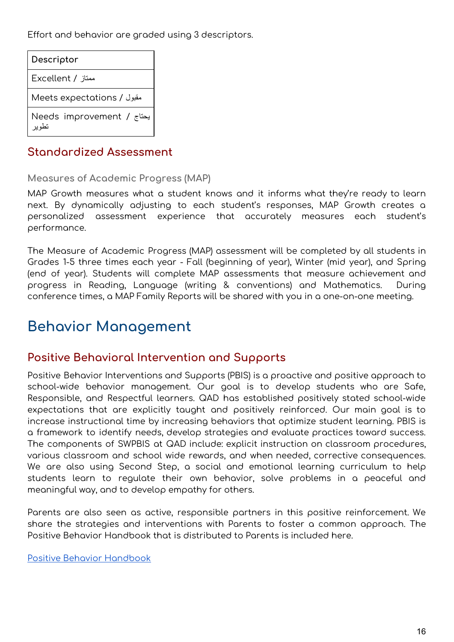Effort and behavior are graded using 3 descriptors.

| Descriptor                 |
|----------------------------|
| ممتاز / Excellent          |
| Meets expectations / مقبول |
| بحتاج / Needs improvement  |

## <span id="page-15-0"></span>**Standardized Assessment**

<span id="page-15-1"></span>**Measures of Academic Progress (MAP)**

MAP Growth measures what a student knows and it informs what they're ready to learn next. By dynamically adjusting to each student's responses, MAP Growth creates a personalized assessment experience that accurately measures each student's performance.

The Measure of Academic Progress (MAP) assessment will be completed by all students in Grades 1-5 three times each year - Fall (beginning of year), Winter (mid year), and Spring (end of year). Students will complete MAP assessments that measure achievement and progress in Reading, Language (writing & conventions) and Mathematics. During conference times, a MAP Family Reports will be shared with you in a one-on-one meeting.

# <span id="page-15-2"></span>**Behavior Management**

## <span id="page-15-3"></span>**Positive Behavioral Intervention and Supports**

Positive Behavior Interventions and Supports (PBIS) is a proactive and positive approach to school-wide behavior management. Our goal is to develop students who are Safe, Responsible, and Respectful learners. QAD has established positively stated school-wide expectations that are explicitly taught and positively reinforced. Our main goal is to increase instructional time by increasing behaviors that optimize student learning. PBIS is a framework to identify needs, develop strategies and evaluate practices toward success. The components of SWPBIS at QAD include: explicit instruction on classroom procedures, various classroom and school wide rewards, and when needed, corrective consequences. We are also using Second Step, a social and emotional learning curriculum to help students learn to regulate their own behavior, solve problems in a peaceful and meaningful way, and to develop empathy for others.

Parents are also seen as active, responsible partners in this positive reinforcement. We share the strategies and interventions with Parents to foster a common approach. The Positive Behavior Handbook that is distributed to Parents is included here.

Positive Behavior [Handbook](https://drive.google.com/file/d/1p8zWypHTGuuHmCPIa72W2xvbq8Zsp2GX/view?usp=sharing)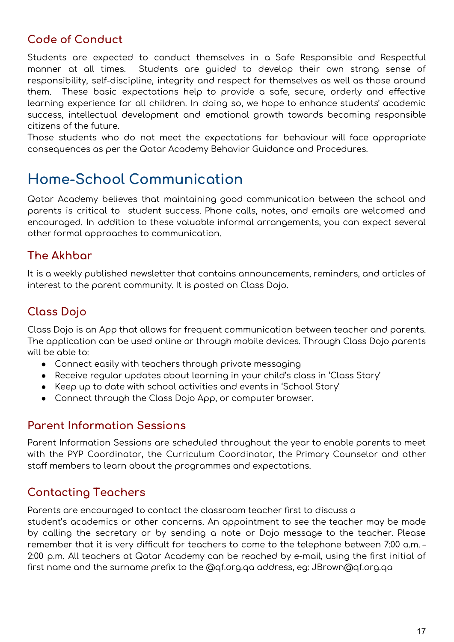# <span id="page-16-0"></span>**Code of Conduct**

Students are expected to conduct themselves in a Safe Responsible and Respectful manner at all times. Students are guided to develop their own strong sense of responsibility, self-discipline, integrity and respect for themselves as well as those around them. These basic expectations help to provide a safe, secure, orderly and effective learning experience for all children. In doing so, we hope to enhance students' academic success, intellectual development and emotional growth towards becoming responsible citizens of the future.

Those students who do not meet the expectations for behaviour will face appropriate consequences as per the Qatar Academy Behavior Guidance and Procedures.

# <span id="page-16-1"></span>**Home-School Communication**

Qatar Academy believes that maintaining good communication between the school and parents is critical to student success. Phone calls, notes, and emails are welcomed and encouraged. In addition to these valuable informal arrangements, you can expect several other formal approaches to communication.

## <span id="page-16-2"></span>**The Akhbar**

It is a weekly published newsletter that contains announcements, reminders, and articles of interest to the parent community. It is posted on Class Dojo.

# <span id="page-16-3"></span>**Class Dojo**

Class Dojo is an App that allows for frequent communication between teacher and parents. The application can be used online or through mobile devices. Through Class Dojo parents will be able to:

- Connect easily with teachers through private messaging
- Receive regular updates about learning in your child's class in 'Class Story'
- Keep up to date with school activities and events in 'School Story'
- Connect through the Class Dojo App, or computer browser.

## <span id="page-16-4"></span>**Parent Information Sessions**

Parent Information Sessions are scheduled throughout the year to enable parents to meet with the PYP Coordinator, the Curriculum Coordinator, the Primary Counselor and other staff members to learn about the programmes and expectations.

# <span id="page-16-5"></span>**Contacting Teachers**

Parents are encouraged to contact the classroom teacher first to discuss a

student's academics or other concerns. An appointment to see the teacher may be made by calling the secretary or by sending a note or Dojo message to the teacher. Please remember that it is very difficult for teachers to come to the telephone between 7:00 a.m. – 2:00 p.m. All teachers at Qatar Academy can be reached by e-mail, using the first initial of first name and the surname prefix to the @qf.org.qa address, eg: [JBrown@qf.org.q](mailto:JBrown@qf.org.qa)a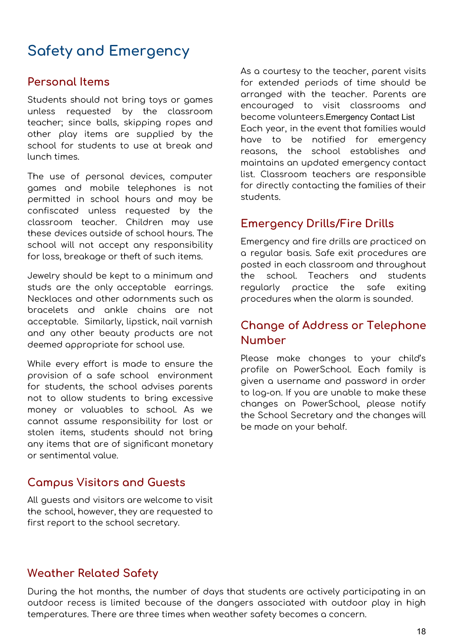# <span id="page-17-0"></span>**Safety and Emergency**

## <span id="page-17-1"></span>**Personal Items**

Students should not bring toys or games unless requested by the classroom teacher; since balls, skipping ropes and other play items are supplied by the school for students to use at break and lunch times.

The use of personal devices, computer games and mobile telephones is not permitted in school hours and may be confiscated unless requested by the classroom teacher. Children may use these devices outside of school hours. The school will not accept any responsibility for loss, breakage or theft of such items.

Jewelry should be kept to a minimum and studs are the only acceptable earrings. Necklaces and other adornments such as bracelets and ankle chains are not acceptable. Similarly, lipstick, nail varnish and any other beauty products are not deemed appropriate for school use.

While every effort is made to ensure the provision of a safe school environment for students, the school advises parents not to allow students to bring excessive money or valuables to school. As we cannot assume responsibility for lost or stolen items, students should not bring any items that are of significant monetary or sentimental value.

## <span id="page-17-2"></span>**Campus Visitors and Guests**

<span id="page-17-5"></span>All guests and visitors are welcome to visit the school, however, they are requested to first report to the school secretary.

As a courtesy to the teacher, parent visits for extended periods of time should be arranged with the teacher. Parents are encouraged to visit classrooms and become volunteers.Emergency Contact List Each year, in the event that families would have to be notified for emergency reasons, the school establishes and maintains an updated emergency contact list. Classroom teachers are responsible for directly contacting the families of their students.

## <span id="page-17-3"></span>**Emergency Drills/Fire Drills**

Emergency and fire drills are practiced on a regular basis. Safe exit procedures are posted in each classroom and throughout the school. Teachers and students regularly practice the safe exiting procedures when the alarm is sounded.

# <span id="page-17-4"></span>**Change of Address or Telephone Number**

Please make changes to your child's profile on PowerSchool. Each family is given a username and password in order to log-on. If you are unable to make these changes on PowerSchool, please notify the School Secretary and the changes will be made on your behalf.

## **Weather Related Safety**

During the hot months, the number of days that students are actively participating in an outdoor recess is limited because of the dangers associated with outdoor play in high temperatures. There are three times when weather safety becomes a concern.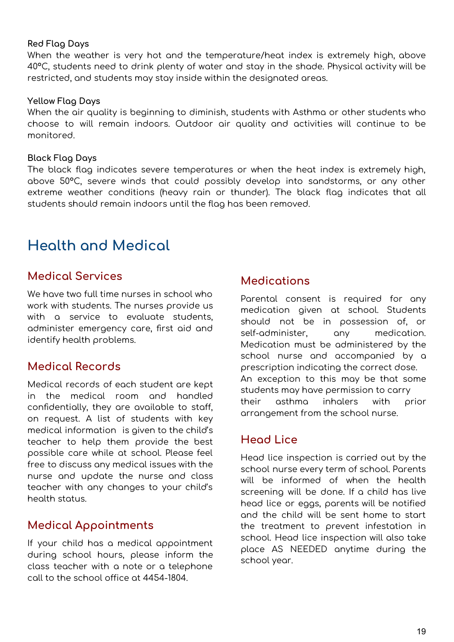#### **Red Flag Days**

When the weather is very hot and the temperature/heat index is extremely high, above 40°C, students need to drink plenty of water and stay in the shade. Physical activity will be restricted, and students may stay inside within the designated areas.

#### **Yellow Flag Days**

When the air quality is beginning to diminish, students with Asthma or other students who choose to will remain indoors. Outdoor air quality and activities will continue to be monitored.

#### **Black Flag Days**

The black flag indicates severe temperatures or when the heat index is extremely high, above 50°C, severe winds that could possibly develop into sandstorms, or any other extreme weather conditions (heavy rain or thunder). The black flag indicates that all students should remain indoors until the flag has been removed.

# **Health and Medical**

## <span id="page-18-0"></span>**Medical Services**

We have two full time nurses in school who work with students. The nurses provide us with a service to evaluate students, administer emergency care, first aid and identify health problems.

## <span id="page-18-1"></span>**Medical Records**

Medical records of each student are kept in the medical room and handled confidentially, they are available to staff, on request. A list of students with key medical information is given to the child's teacher to help them provide the best possible care while at school. Please feel free to discuss any medical issues with the nurse and update the nurse and class teacher with any changes to your child's health status.

## <span id="page-18-2"></span>**Medical Appointments**

If your child has a medical appointment during school hours, please inform the class teacher with a note or a telephone call to the school office at 4454-1804.

## <span id="page-18-3"></span>**Medications**

Parental consent is required for any medication given at school. Students should not be in possession of, or self-administer, any medication. Medication must be administered by the school nurse and accompanied by a prescription indicating the correct dose. An exception to this may be that some students may have permission to carry their asthma inhalers with prior arrangement from the school nurse.

## **Head Lice**

Head lice inspection is carried out by the school nurse every term of school. Parents will be informed of when the health screening will be done. If a child has live head lice or eggs, parents will be notified and the child will be sent home to start the treatment to prevent infestation in school. Head lice inspection will also take place AS NEEDED anytime during the school year.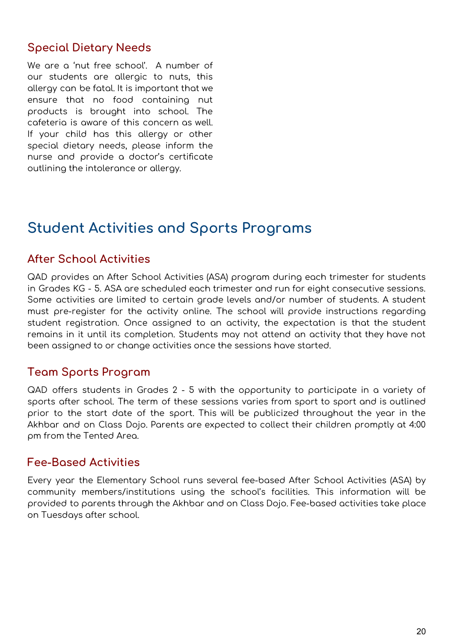## <span id="page-19-0"></span>**Special Dietary Needs**

We are a 'nut free school'. A number of our students are allergic to nuts, this allergy can be fatal. It is important that we ensure that no food containing nut products is brought into school. The cafeteria is aware of this concern as well. If your child has this allergy or other special dietary needs, please inform the nurse and provide a doctor's certificate outlining the intolerance or allergy.

# **Student Activities and Sports Programs**

## <span id="page-19-1"></span>**After School Activities**

QAD provides an After School Activities (ASA) program during each trimester for students in Grades KG - 5. ASA are scheduled each trimester and run for eight consecutive sessions. Some activities are limited to certain grade levels and/or number of students. A student must pre-register for the activity online. The school will provide instructions regarding student registration. Once assigned to an activity, the expectation is that the student remains in it until its completion. Students may not attend an activity that they have not been assigned to or change activities once the sessions have started.

## <span id="page-19-2"></span>**Team Sports Program**

QAD offers students in Grades 2 - 5 with the opportunity to participate in a variety of sports after school. The term of these sessions varies from sport to sport and is outlined prior to the start date of the sport. This will be publicized throughout the year in the Akhbar and on Class Dojo. Parents are expected to collect their children promptly at 4:00 pm from the Tented Area.

## <span id="page-19-3"></span>**Fee-Based Activities**

Every year the Elementary School runs several fee-based After School Activities (ASA) by community members/institutions using the school's facilities. This information will be provided to parents through the Akhbar and on Class Dojo. Fee-based activities take place on Tuesdays after school.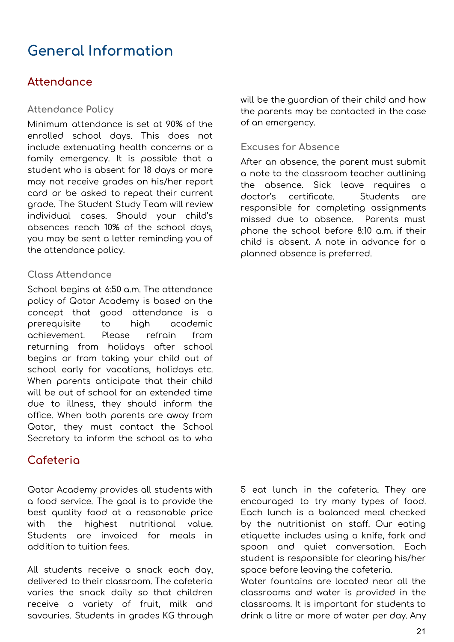# **General Information**

## <span id="page-20-0"></span>**Attendance**

### <span id="page-20-1"></span>**Attendance Policy**

Minimum attendance is set at 90% of the enrolled school days. This does not include extenuating health concerns or a family emergency. It is possible that a student who is absent for 18 days or more may not receive grades on his/her report card or be asked to repeat their current grade. The Student Study Team will review individual cases. Should your child's absences reach 10% of the school days, you may be sent a letter reminding you of the attendance policy.

### <span id="page-20-2"></span>**Class Attendance**

School begins at 6:50 a.m. The attendance policy of Qatar Academy is based on the concept that good attendance is a prerequisite to high academic achievement. Please refrain from returning from holidays after school begins or from taking your child out of school early for vacations, holidays etc. When parents anticipate that their child will be out of school for an extended time due to illness, they should inform the office. When both parents are away from Qatar, they must contact the School Secretary to inform the school as to who

## <span id="page-20-4"></span>**Cafeteria**

Qatar Academy provides all students with a food service. The goal is to provide the best quality food at a reasonable price with the highest nutritional value. Students are invoiced for meals in addition to tuition fees.

All students receive a snack each day, delivered to their classroom. The cafeteria varies the snack daily so that children receive a variety of fruit, milk and savouries. Students in grades KG through will be the guardian of their child and how the parents may be contacted in the case of an emergency.

### <span id="page-20-3"></span>**Excuses for Absence**

After an absence, the parent must submit a note to the classroom teacher outlining the absence. Sick leave requires a doctor's certificate. Students are responsible for completing assignments missed due to absence. Parents must phone the school before 8:10 a.m. if their child is absent. A note in advance for a planned absence is preferred.

5 eat lunch in the cafeteria. They are encouraged to try many types of food. Each lunch is a balanced meal checked by the nutritionist on staff. Our eating etiquette includes using a knife, fork and spoon and quiet conversation. Each student is responsible for clearing his/her space before leaving the cafeteria.

Water fountains are located near all the classrooms and water is provided in the classrooms. It is important for students to drink a litre or more of water per day. Any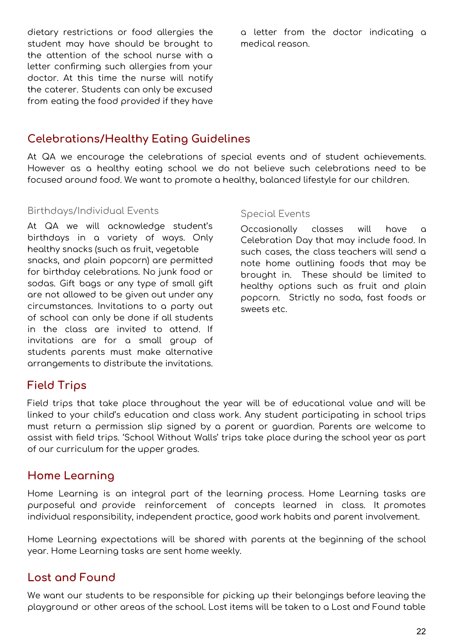#### a letter from the doctor indicating a medical reason.

## **Celebrations/Healthy Eating Guidelines**

At QA we encourage the celebrations of special events and of student achievements. However as a healthy eating school we do not believe such celebrations need to be focused around food. We want to promote a healthy, balanced lifestyle for our children.

#### <span id="page-21-0"></span>Birthdays/Individual Events

At QA we will acknowledge student's birthdays in a variety of ways. Only healthy snacks (such as fruit, vegetable snacks, and plain popcorn) are permitted for birthday celebrations. No junk food or sodas. Gift bags or any type of small gift are not allowed to be given out under any circumstances. Invitations to a party out of school can only be done if all students in the class are invited to attend. If invitations are for a small group of students parents must make alternative arrangements to distribute the invitations.

#### <span id="page-21-1"></span>Special Events

Occasionally classes will have a Celebration Day that may include food. In such cases, the class teachers will send a note home outlining foods that may be brought in. These should be limited to healthy options such as fruit and plain popcorn. Strictly no soda, fast foods or sweets etc.

## <span id="page-21-2"></span>**Field Trips**

Field trips that take place throughout the year will be of educational value and will be linked to your child's education and class work. Any student participating in school trips must return a permission slip signed by a parent or guardian. Parents are welcome to assist with field trips. 'School Without Walls' trips take place during the school year as part of our curriculum for the upper grades.

## <span id="page-21-3"></span>**Home Learning**

Home Learning is an integral part of the learning process. Home Learning tasks are purposeful and provide reinforcement of concepts learned in class. It promotes individual responsibility, independent practice, good work habits and parent involvement.

Home Learning expectations will be shared with parents at the beginning of the school year. Home Learning tasks are sent home weekly.

## <span id="page-21-4"></span>**Lost and Found**

We want our students to be responsible for picking up their belongings before leaving the playground or other areas of the school. Lost items will be taken to a Lost and Found table